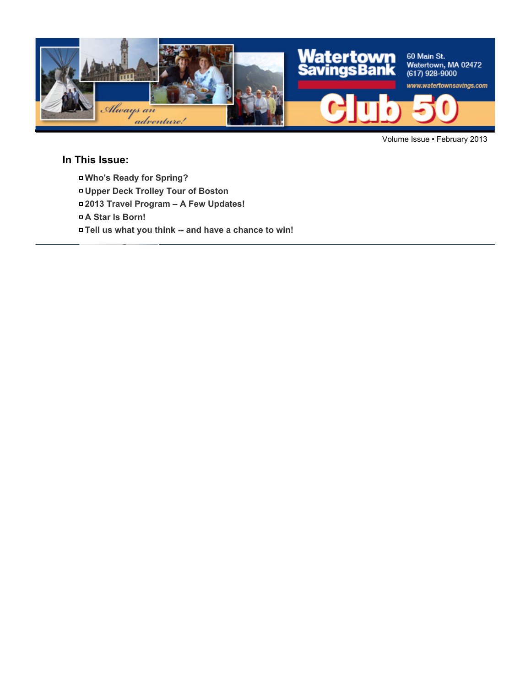

Volume Issue • February 2013

### **In This Issue:**

- **Who's Ready for Spring?**
- **Upper Deck Trolley Tour of Boston**
- **2013 Travel Program A Few Updates!**
- **A Star Is Born!**
- **Tell us what you think -- and have a chance to win!**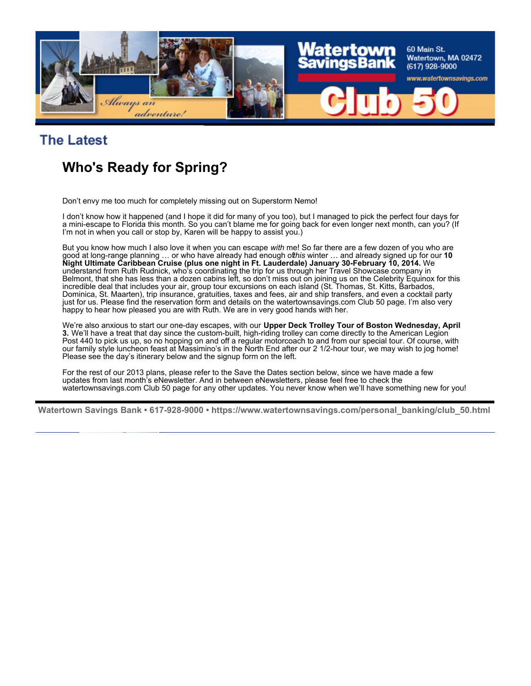

## **The Latest**

# **Who's Ready for Spring?**

Don't envy me too much for completely missing out on Superstorm Nemo!

I don't know how it happened (and I hope it did for many of you too), but I managed to pick the perfect four days for a mini-escape to Florida this month. So you can't blame me for going back for even longer next month, can you? (If I'm not in when you call or stop by, Karen will be happy to assist you.)

But you know how much I also love it when you can escape *with* me! So far there are a few dozen of you who are good at long-range planning … or who have already had enough of *this* winter … and already signed up for our **10 Night Ultimate Caribbean Cruise (plus one night in Ft. Lauderdale) January 30-February 10, 2014.** We understand from Ruth Rudnick, who's coordinating the trip for us through her Travel Showcase company in Belmont, that she has less than a dozen cabins left, so don't miss out on joining us on the Celebrity Equinox for this incredible deal that includes your air, group tour excursions on each island (St. Thomas, St. Kitts, Barbados, Dominica, St. Maarten), trip insurance, gratuities, taxes and fees, air and ship transfers, and even a cocktail party just for us. Please find the reservation form and details on the watertownsavings.com Club 50 page. I'm also very happy to hear how pleased you are with Ruth. We are in very good hands with her.

We're also anxious to start our one-day escapes, with our **Upper Deck Trolley Tour of Boston Wednesday, April 3.** We'll have a treat that day since the custom-built, high-riding trolley can come directly to the American Legion Post 440 to pick us up, so no hopping on and off a regular motorcoach to and from our special tour. Of course, with our family style luncheon feast at Massimino's in the North End after our 2 1/2-hour tour, we may wish to jog home! Please see the day's itinerary below and the signup form on the left.

For the rest of our 2013 plans, please refer to the Save the Dates section below, since we have made a few updates from last month's eNewsletter. And in between eNewsletters, please feel free to check the watertownsavings.com Club 50 page for any other updates. You never know when we'll have something new for you!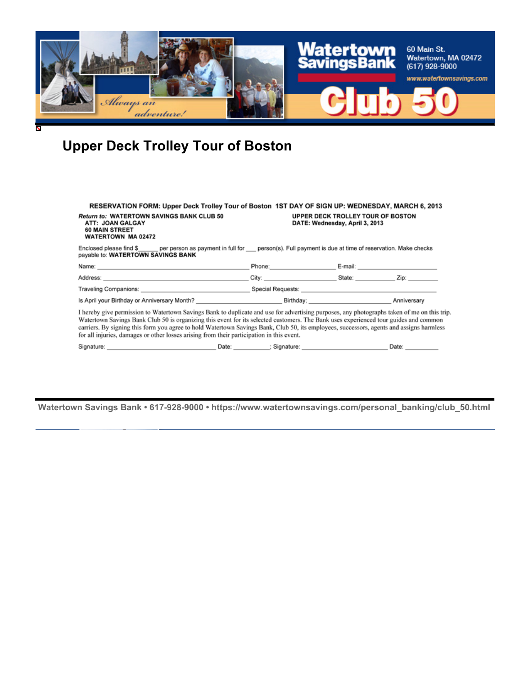

# **Upper Deck Trolley Tour of Boston**

| <b>Return to: WATERTOWN SAVINGS BANK CLUB 50</b><br>ATT: JOAN GALGAY<br><b>60 MAIN STREET</b><br><b>WATERTOWN MA 02472</b>                                                                                                                                                                                                                                                                                                                                                                                                   | RESERVATION FORM: Upper Deck Trolley Tour of Boston 1ST DAY OF SIGN UP: WEDNESDAY, MARCH 6, 2013<br>UPPER DECK TROLLEY TOUR OF BOSTON<br>DATE: Wednesday, April 3, 2013                                                        |                   |                 |
|------------------------------------------------------------------------------------------------------------------------------------------------------------------------------------------------------------------------------------------------------------------------------------------------------------------------------------------------------------------------------------------------------------------------------------------------------------------------------------------------------------------------------|--------------------------------------------------------------------------------------------------------------------------------------------------------------------------------------------------------------------------------|-------------------|-----------------|
| Enclosed please find \$ per person as payment in full for person(s). Full payment is due at time of reservation. Make checks<br>payable to: WATERTOWN SAVINGS BANK                                                                                                                                                                                                                                                                                                                                                           |                                                                                                                                                                                                                                |                   |                 |
|                                                                                                                                                                                                                                                                                                                                                                                                                                                                                                                              | Phone: 2008 Phone: 2008                                                                                                                                                                                                        |                   |                 |
|                                                                                                                                                                                                                                                                                                                                                                                                                                                                                                                              |                                                                                                                                                                                                                                | City: State: Zip: |                 |
|                                                                                                                                                                                                                                                                                                                                                                                                                                                                                                                              | Traveling Companions: etc. All and the extreme of the Special Requests: etc. All and the extreme of the extreme of the extreme of the extreme of the extreme of the extreme of the extreme of the extreme of the extreme of th |                   |                 |
|                                                                                                                                                                                                                                                                                                                                                                                                                                                                                                                              |                                                                                                                                                                                                                                |                   |                 |
| I hereby give permission to Watertown Savings Bank to duplicate and use for advertising purposes, any photographs taken of me on this trip.<br>Watertown Savings Bank Club 50 is organizing this event for its selected customers. The Bank uses experienced tour guides and common<br>carriers. By signing this form you agree to hold Watertown Savings Bank, Club 50, its employees, successors, agents and assigns harmless<br>for all injuries, damages or other losses arising from their participation in this event. |                                                                                                                                                                                                                                |                   |                 |
|                                                                                                                                                                                                                                                                                                                                                                                                                                                                                                                              |                                                                                                                                                                                                                                |                   | Date: _________ |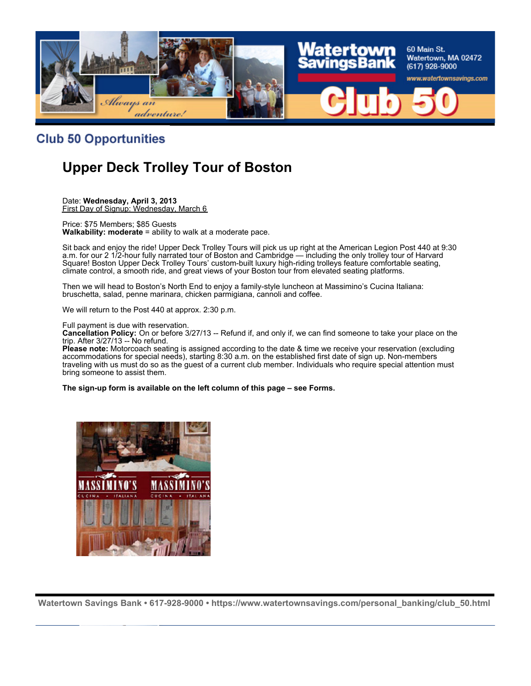

### **Club 50 Opportunities**

# **Upper Deck Trolley Tour of Boston**

Date: **Wednesday, April 3, 2013** First Day of Signup: Wednesday, March 6

Price: \$75 Members; \$85 Guests **Walkability: moderate** = ability to walk at a moderate pace.

Sit back and enjoy the ride! Upper Deck Trolley Tours will pick us up right at the American Legion Post 440 at 9:30 a.m. for our 2 1/2-hour fully narrated tour of Boston and Cambridge — including the only trolley tour of Harvard Square! Boston Upper Deck Trolley Tours' custom-built luxury high-riding trolleys feature comfortable seating, climate control, a smooth ride, and great views of your Boston tour from elevated seating platforms.

Then we will head to Boston's North End to enjoy a family-style luncheon at Massimino's Cucina Italiana: bruschetta, salad, penne marinara, chicken parmigiana, cannoli and coffee.

We will return to the Post 440 at approx. 2:30 p.m.

Full payment is due with reservation.

**Cancellation Policy:** On or before 3/27/13 -- Refund if, and only if, we can find someone to take your place on the trip. After 3/27/13 -- No refund.

**Please note:** Motorcoach seating is assigned according to the date & time we receive your reservation (excluding accommodations for special needs), starting 8:30 a.m. on the established first date of sign up. Non-members traveling with us must do so as the guest of a current club member. Individuals who require special attention must bring someone to assist them.

**The sign-up form is available on the left column of this page – see Forms.**

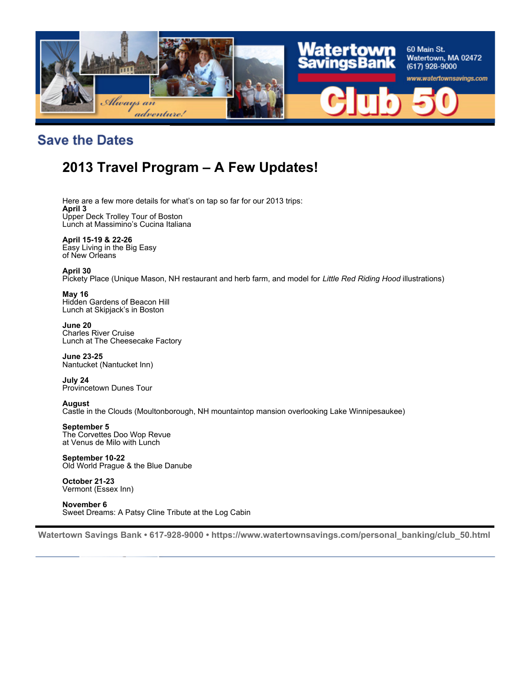

## **Save the Dates**

# **2013 Travel Program – A Few Updates!**

Here are a few more details for what's on tap so far for our 2013 trips: **April 3** Upper Deck Trolley Tour of Boston Lunch at Massimino's Cucina Italiana

**April 15-19 & 22-26** Easy Living in the Big Easy of New Orleans

#### **April 30**

Pickety Place (Unique Mason, NH restaurant and herb farm, and model for *Little Red Riding Hood* illustrations)

#### **May 16**

Hidden Gardens of Beacon Hill Lunch at Skipjack's in Boston

**June 20** Charles River Cruise Lunch at The Cheesecake Factory

**June 23-25** Nantucket (Nantucket Inn)

**July 24** Provincetown Dunes Tour

#### **August**

Castle in the Clouds (Moultonborough, NH mountaintop mansion overlooking Lake Winnipesaukee)

#### **September 5**

The Corvettes Doo Wop Revue at Venus de Milo with Lunch

**September 10-22** Old World Prague & the Blue Danube

**October 21-23** Vermont (Essex Inn)

**November 6** Sweet Dreams: A Patsy Cline Tribute at the Log Cabin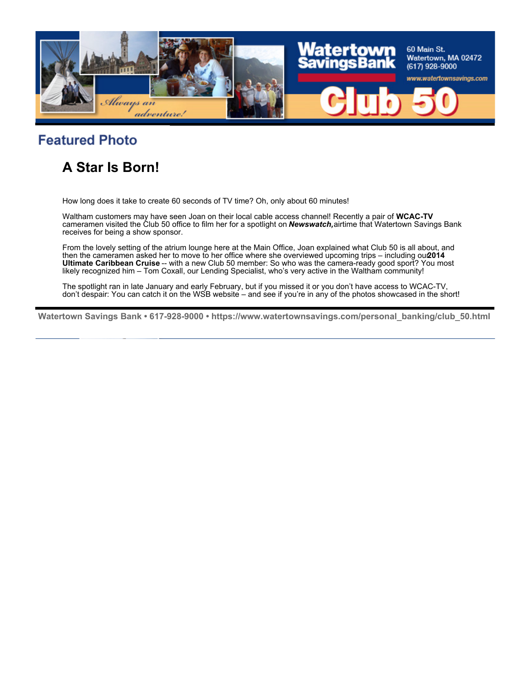

## **Featured Photo**

# **A Star Is Born!**

How long does it take to create 60 seconds of TV time? Oh, only about 60 minutes!

Waltham customers may have seen Joan on their local cable access channel! Recently a pair of **WCAC-TV** cameramen visited the Club 50 office to film her for a spotlight on *Newswatch,*airtime that Watertown Savings Bank receives for being a show sponsor.

From the lovely setting of the atrium lounge here at the Main Office, Joan explained what Club 50 is all about, and then the cameramen asked her to move to her office where she overviewed upcoming trips – including our 2014 **Ultimate Caribbean Cruise** -- with a new Club 50 member: So who was the camera-ready good sport? You most likely recognized him – Tom Coxall, our Lending Specialist, who's very active in the Waltham community!

The spotlight ran in late January and early February, but if you missed it or you don't have access to WCAC-TV, don't despair: You can catch it on the WSB website – and see if you're in any of the photos showcased in the short!